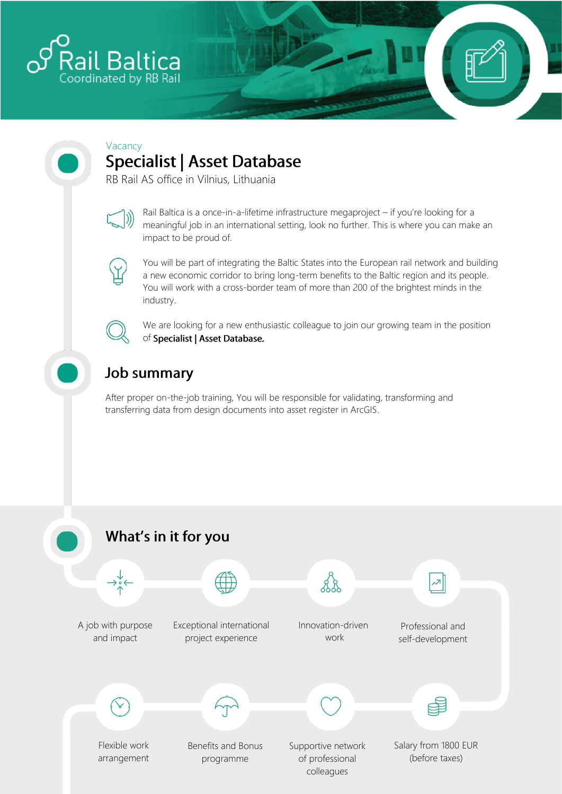

## Vacancy **Specialist | Asset Database**

RB Rail AS office in Vilnius, Lithuania



Rail Baltica is a once-in-a-lifetime infrastructure megaproject – if you're looking for a meaningful job in an international setting, look no further. This is where you can make an impact to be proud of.



You will be part of integrating the Baltic States into the European rail network and building a new economic corridor to bring long-term benefits to the Baltic region and its people. You will work with a cross-border team of more than 200 of the brightest minds in the industry.



We are looking for a new enthusiastic colleague to join our growing team in the position of Specialist | Asset Database.

# **Job summary**

After proper on-the-job training, You will be responsible for validating, transforming and transferring data from design documents into asset register in ArcGIS.